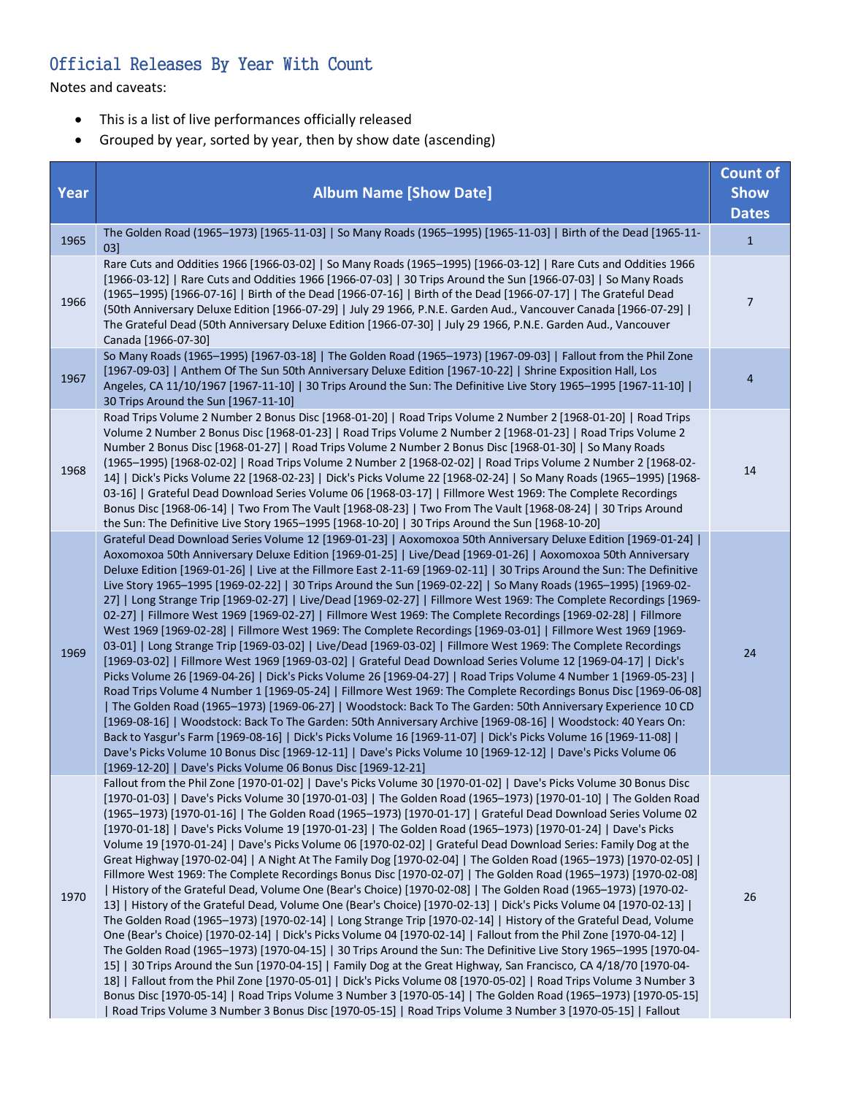## Official Releases By Year With Count

Notes and caveats:

- This is a list of live performances officially released
- Grouped by year, sorted by year, then by show date (ascending)

|             |                                                                                                                                                                                                                                                                                                                                                                                                                                                                                                                                                                                                                                                                                                                                                                                                                                                                                                                                                                                                                                                                                                                                                                                                                                                                                                                                                                                                                                                                                                                                                                                                                                                                                                                                                                                                                                                                                                                  | <b>Count of</b>             |
|-------------|------------------------------------------------------------------------------------------------------------------------------------------------------------------------------------------------------------------------------------------------------------------------------------------------------------------------------------------------------------------------------------------------------------------------------------------------------------------------------------------------------------------------------------------------------------------------------------------------------------------------------------------------------------------------------------------------------------------------------------------------------------------------------------------------------------------------------------------------------------------------------------------------------------------------------------------------------------------------------------------------------------------------------------------------------------------------------------------------------------------------------------------------------------------------------------------------------------------------------------------------------------------------------------------------------------------------------------------------------------------------------------------------------------------------------------------------------------------------------------------------------------------------------------------------------------------------------------------------------------------------------------------------------------------------------------------------------------------------------------------------------------------------------------------------------------------------------------------------------------------------------------------------------------------|-----------------------------|
| <b>Year</b> | <b>Album Name [Show Date]</b>                                                                                                                                                                                                                                                                                                                                                                                                                                                                                                                                                                                                                                                                                                                                                                                                                                                                                                                                                                                                                                                                                                                                                                                                                                                                                                                                                                                                                                                                                                                                                                                                                                                                                                                                                                                                                                                                                    | <b>Show</b><br><b>Dates</b> |
| 1965        | The Golden Road (1965-1973) [1965-11-03]   So Many Roads (1965-1995) [1965-11-03]   Birth of the Dead [1965-11-<br>03]                                                                                                                                                                                                                                                                                                                                                                                                                                                                                                                                                                                                                                                                                                                                                                                                                                                                                                                                                                                                                                                                                                                                                                                                                                                                                                                                                                                                                                                                                                                                                                                                                                                                                                                                                                                           | $1\,$                       |
| 1966        | Rare Cuts and Oddities 1966 [1966-03-02]   So Many Roads (1965-1995) [1966-03-12]   Rare Cuts and Oddities 1966<br>[1966-03-12]   Rare Cuts and Oddities 1966 [1966-07-03]   30 Trips Around the Sun [1966-07-03]   So Many Roads<br>(1965-1995) [1966-07-16]   Birth of the Dead [1966-07-16]   Birth of the Dead [1966-07-17]   The Grateful Dead<br>[50th Anniversary Deluxe Edition [1966-07-29]   July 29 1966, P.N.E. Garden Aud., Vancouver Canada [1966-07-29]<br>The Grateful Dead (50th Anniversary Deluxe Edition [1966-07-30]   July 29 1966, P.N.E. Garden Aud., Vancouver<br>Canada [1966-07-30]                                                                                                                                                                                                                                                                                                                                                                                                                                                                                                                                                                                                                                                                                                                                                                                                                                                                                                                                                                                                                                                                                                                                                                                                                                                                                                   | $\overline{7}$              |
| 1967        | So Many Roads (1965-1995) [1967-03-18]   The Golden Road (1965-1973) [1967-09-03]   Fallout from the Phil Zone<br>[1967-09-03]   Anthem Of The Sun 50th Anniversary Deluxe Edition [1967-10-22]   Shrine Exposition Hall, Los<br>Angeles, CA 11/10/1967 [1967-11-10]   30 Trips Around the Sun: The Definitive Live Story 1965-1995 [1967-11-10]  <br>30 Trips Around the Sun [1967-11-10]                                                                                                                                                                                                                                                                                                                                                                                                                                                                                                                                                                                                                                                                                                                                                                                                                                                                                                                                                                                                                                                                                                                                                                                                                                                                                                                                                                                                                                                                                                                       | $\overline{4}$              |
| 1968        | Road Trips Volume 2 Number 2 Bonus Disc [1968-01-20]   Road Trips Volume 2 Number 2 [1968-01-20]   Road Trips<br>Volume 2 Number 2 Bonus Disc [1968-01-23]   Road Trips Volume 2 Number 2 [1968-01-23]   Road Trips Volume 2<br>Number 2 Bonus Disc [1968-01-27]   Road Trips Volume 2 Number 2 Bonus Disc [1968-01-30]   So Many Roads<br>(1965–1995) [1968-02-02]   Road Trips Volume 2 Number 2 [1968-02-02]   Road Trips Volume 2 Number 2 [1968-02-<br>1488 1965–1995) [1968-1995] [1968-02-23] Dick's Picks Volume 22 [1968-02-24] So Many Roads (1965–1995) [1968-<br>03-16]   Grateful Dead Download Series Volume 06 [1968-03-17]   Fillmore West 1969: The Complete Recordings<br>Bonus Disc [1968-06-14]   Two From The Vault [1968-08-23]   Two From The Vault [1968-08-24]   30 Trips Around<br>the Sun: The Definitive Live Story 1965-1995 [1968-10-20]   30 Trips Around the Sun [1968-10-20]                                                                                                                                                                                                                                                                                                                                                                                                                                                                                                                                                                                                                                                                                                                                                                                                                                                                                                                                                                                                    | 14                          |
| 1969        | Grateful Dead Download Series Volume 12 [1969-01-23]   Aoxomoxoa 50th Anniversary Deluxe Edition [1969-01-24]  <br>Aoxomoxoa 50th Anniversary Deluxe Edition [1969-01-25]   Live/Dead [1969-01-26]   Aoxomoxoa 50th Anniversary<br>Deluxe Edition [1969-01-26]   Live at the Fillmore East 2-11-69 [1969-02-11]   30 Trips Around the Sun: The Definitive<br>Live Story 1965-1995 [1969-02-22]   30 Trips Around the Sun [1969-02-22]   So Many Roads (1965-1995) [1969-02-<br>27]   Long Strange Trip [1969-02-27]   Live/Dead [1969-02-27]   Fillmore West 1969: The Complete Recordings [1969-<br>02-27]   Fillmore West 1969 [1969-02-27]   Fillmore West 1969: The Complete Recordings [1969-02-28]   Fillmore<br>West 1969 [1969-02-28]   Fillmore West 1969: The Complete Recordings [1969-03-01]   Fillmore West 1969 [1969-<br>03-01]   Long Strange Trip [1969-03-02]   Live/Dead [1969-03-02]   Fillmore West 1969: The Complete Recordings<br>[1969-03-02]   Fillmore West 1969 [1969-03-02]   Grateful Dead Download Series Volume 12 [1969-04-17]   Dick's<br>Picks Volume 26 [1969-04-26]   Dick's Picks Volume 26 [1969-04-27]   Road Trips Volume 4 Number 1 [1969-05-23]  <br>Road Trips Volume 4 Number 1 [1969-05-24]   Fillmore West 1969: The Complete Recordings Bonus Disc [1969-06-08]<br>The Golden Road (1965-1973) [1969-06-27]   Woodstock: Back To The Garden: 50th Anniversary Experience 10 CD<br>[1969-08-16]   Woodstock: Back To The Garden: 50th Anniversary Archive [1969-08-16]   Woodstock: 40 Years On:<br>Back to Yasgur's Farm [1969-08-16]   Dick's Picks Volume 16 [1969-11-07]   Dick's Picks Volume 16 [1969-11-08]  <br>Dave's Picks Volume 10 Bonus Disc [1969-12-11]   Dave's Picks Volume 10 [1969-12-12]   Dave's Picks Volume 06<br>[1969-12-20]   Dave's Picks Volume 06 Bonus Disc [1969-12-21]                                                            | 24                          |
| 1970        | Fallout from the Phil Zone [1970-01-02]   Dave's Picks Volume 30 [1970-01-02]   Dave's Picks Volume 30 Bonus Disc<br>[1970-01-03]   Dave's Picks Volume 30 [1970-01-03]   The Golden Road (1965-1973) [1970-01-10]   The Golden Road<br>(1965-1973) [1970-01-16]   The Golden Road (1965-1973) [1970-01-17]   Grateful Dead Download Series Volume 02<br>[1970-01-18]   Dave's Picks Volume 19 [1970-01-23]   The Golden Road (1965-1973) [1970-01-24]   Dave's Picks<br>Volume 19 [1970-01-24]   Dave's Picks Volume 06 [1970-02-02]   Grateful Dead Download Series: Family Dog at the<br>Great Highway [1970-02-04]   A Night At The Family Dog [1970-02-04]   The Golden Road (1965-1973) [1970-02-05]  <br>Fillmore West 1969: The Complete Recordings Bonus Disc [1970-02-07]   The Golden Road (1965-1973) [1970-02-08]<br>  History of the Grateful Dead, Volume One (Bear's Choice) [1970-02-08]   The Golden Road (1965-1973) [1970-02-<br>13] History of the Grateful Dead, Volume One (Bear's Choice) [1970-02-13]   Dick's Picks Volume 04 [1970-02-13]  <br>The Golden Road (1965-1973) [1970-02-14]   Long Strange Trip [1970-02-14]   History of the Grateful Dead, Volume<br>One (Bear's Choice) [1970-02-14]   Dick's Picks Volume 04 [1970-02-14]   Fallout from the Phil Zone [1970-04-12]  <br>The Golden Road (1965-1973) [1970-04-15]   30 Trips Around the Sun: The Definitive Live Story 1965-1995 [1970-04-<br>15]   30 Trips Around the Sun [1970-04-15]   Family Dog at the Great Highway, San Francisco, CA 4/18/70 [1970-04-<br>18]   Fallout from the Phil Zone [1970-05-01]   Dick's Picks Volume 08 [1970-05-02]   Road Trips Volume 3 Number 3<br>Bonus Disc [1970-05-14]   Road Trips Volume 3 Number 3 [1970-05-14]   The Golden Road (1965-1973) [1970-05-15]<br>Road Trips Volume 3 Number 3 Bonus Disc [1970-05-15]   Road Trips Volume 3 Number 3 [1970-05-15]   Fallout | 26                          |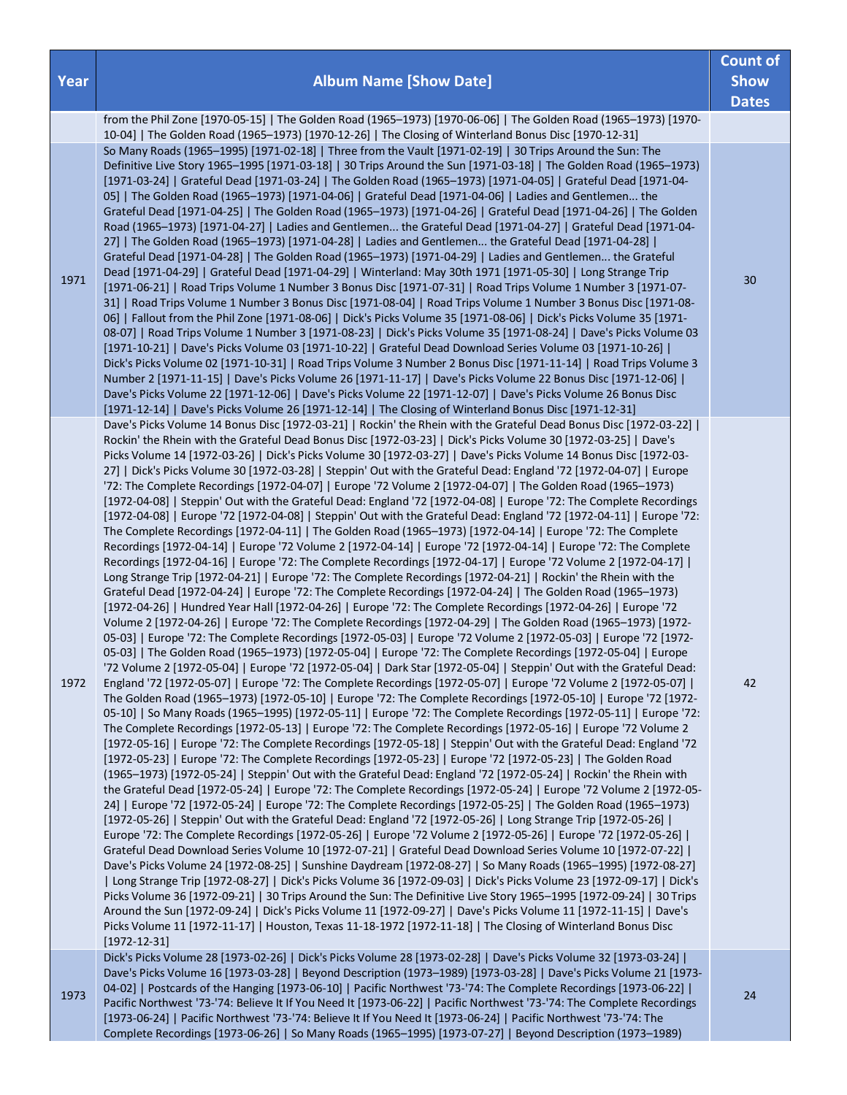|      |                                                                                                                                                                                                                                                                                                                                                                                                                                                                                                                                                                                                                                                                                                                                                                                                                                                                                                                                                                                                                                                                                                                                                                                                                                                                                                                                                                                                                                                                                                                                                                                                                                                                                                                                                                                                                                                                                                                                                                                                                                                                                                                                                                                                                                                                                                                                                                                                                                                                                                                                                                                                                                                                                                                                                                                                                                                                                                                                                                                                                                                                                                                                                                                                                                                                                                                                                                                                                                                                                                                                                                                                                                                                                                                                                                                                                                                                                                                                                                                                                                                                                                | <b>Count of</b> |
|------|------------------------------------------------------------------------------------------------------------------------------------------------------------------------------------------------------------------------------------------------------------------------------------------------------------------------------------------------------------------------------------------------------------------------------------------------------------------------------------------------------------------------------------------------------------------------------------------------------------------------------------------------------------------------------------------------------------------------------------------------------------------------------------------------------------------------------------------------------------------------------------------------------------------------------------------------------------------------------------------------------------------------------------------------------------------------------------------------------------------------------------------------------------------------------------------------------------------------------------------------------------------------------------------------------------------------------------------------------------------------------------------------------------------------------------------------------------------------------------------------------------------------------------------------------------------------------------------------------------------------------------------------------------------------------------------------------------------------------------------------------------------------------------------------------------------------------------------------------------------------------------------------------------------------------------------------------------------------------------------------------------------------------------------------------------------------------------------------------------------------------------------------------------------------------------------------------------------------------------------------------------------------------------------------------------------------------------------------------------------------------------------------------------------------------------------------------------------------------------------------------------------------------------------------------------------------------------------------------------------------------------------------------------------------------------------------------------------------------------------------------------------------------------------------------------------------------------------------------------------------------------------------------------------------------------------------------------------------------------------------------------------------------------------------------------------------------------------------------------------------------------------------------------------------------------------------------------------------------------------------------------------------------------------------------------------------------------------------------------------------------------------------------------------------------------------------------------------------------------------------------------------------------------------------------------------------------------------------------------------------------------------------------------------------------------------------------------------------------------------------------------------------------------------------------------------------------------------------------------------------------------------------------------------------------------------------------------------------------------------------------------------------------------------------------------------------------------------------|-----------------|
| Year | <b>Album Name [Show Date]</b>                                                                                                                                                                                                                                                                                                                                                                                                                                                                                                                                                                                                                                                                                                                                                                                                                                                                                                                                                                                                                                                                                                                                                                                                                                                                                                                                                                                                                                                                                                                                                                                                                                                                                                                                                                                                                                                                                                                                                                                                                                                                                                                                                                                                                                                                                                                                                                                                                                                                                                                                                                                                                                                                                                                                                                                                                                                                                                                                                                                                                                                                                                                                                                                                                                                                                                                                                                                                                                                                                                                                                                                                                                                                                                                                                                                                                                                                                                                                                                                                                                                                  | <b>Show</b>     |
|      |                                                                                                                                                                                                                                                                                                                                                                                                                                                                                                                                                                                                                                                                                                                                                                                                                                                                                                                                                                                                                                                                                                                                                                                                                                                                                                                                                                                                                                                                                                                                                                                                                                                                                                                                                                                                                                                                                                                                                                                                                                                                                                                                                                                                                                                                                                                                                                                                                                                                                                                                                                                                                                                                                                                                                                                                                                                                                                                                                                                                                                                                                                                                                                                                                                                                                                                                                                                                                                                                                                                                                                                                                                                                                                                                                                                                                                                                                                                                                                                                                                                                                                | <b>Dates</b>    |
|      | from the Phil Zone [1970-05-15]   The Golden Road (1965-1973) [1970-06-06]   The Golden Road (1965-1973) [1970-<br>10-04]   The Golden Road (1965-1973) [1970-12-26]   The Closing of Winterland Bonus Disc [1970-12-31]                                                                                                                                                                                                                                                                                                                                                                                                                                                                                                                                                                                                                                                                                                                                                                                                                                                                                                                                                                                                                                                                                                                                                                                                                                                                                                                                                                                                                                                                                                                                                                                                                                                                                                                                                                                                                                                                                                                                                                                                                                                                                                                                                                                                                                                                                                                                                                                                                                                                                                                                                                                                                                                                                                                                                                                                                                                                                                                                                                                                                                                                                                                                                                                                                                                                                                                                                                                                                                                                                                                                                                                                                                                                                                                                                                                                                                                                       |                 |
| 1971 | So Many Roads (1965-1995) [1971-02-18]   Three from the Vault [1971-02-19]   30 Trips Around the Sun: The<br>Definitive Live Story 1965-1995 [1971-03-18]   30 Trips Around the Sun [1971-03-18]   The Golden Road (1965-1973)<br>[1971-03-24]   Grateful Dead [1971-03-24]   The Golden Road (1965-1973) [1971-04-05]   Grateful Dead [1971-04-<br>05]   The Golden Road (1965–1973) [1971-04-06]   Grateful Dead [1971-04-06]   Ladies and Gentlemen the<br>Grateful Dead [1971-04-25]   The Golden Road (1965-1973) [1971-04-26]   Grateful Dead [1971-04-26]   The Golden<br>Road (1965-1973) [1971-04-27]   Ladies and Gentlemen the Grateful Dead [1971-04-27]   Grateful Dead [1971-04-<br>27]   The Golden Road (1965-1973) [1971-04-28]   Ladies and Gentlemen the Grateful Dead [1971-04-28]  <br>Grateful Dead [1971-04-28]   The Golden Road (1965-1973) [1971-04-29]   Ladies and Gentlemen the Grateful<br>Dead [1971-04-29]   Grateful Dead [1971-04-29]   Winterland: May 30th 1971 [1971-05-30]   Long Strange Trip<br>[1971-06-21]   Road Trips Volume 1 Number 3 Bonus Disc [1971-07-31]   Road Trips Volume 1 Number 3 [1971-07-<br>31]   Road Trips Volume 1 Number 3 Bonus Disc [1971-08-04]   Road Trips Volume 1 Number 3 Bonus Disc [1971-08-<br>06]   Fallout from the Phil Zone [1971-08-06]   Dick's Picks Volume 35 [1971-08-06]   Dick's Picks Volume 35 [1971-<br>08-07]   Road Trips Volume 1 Number 3 [1971-08-23]   Dick's Picks Volume 35 [1971-08-24]   Dave's Picks Volume 03<br>[1971-10-21]   Dave's Picks Volume 03 [1971-10-22]   Grateful Dead Download Series Volume 03 [1971-10-26]  <br>Dick's Picks Volume 02 [1971-10-31]   Road Trips Volume 3 Number 2 Bonus Disc [1971-11-14]   Road Trips Volume 3<br>Number 2 [1971-11-15]   Dave's Picks Volume 26 [1971-11-17]   Dave's Picks Volume 22 Bonus Disc [1971-12-06]  <br>Dave's Picks Volume 22 [1971-12-06]   Dave's Picks Volume 22 [1971-12-07]   Dave's Picks Volume 26 Bonus Disc<br>[1971-12-14]   Dave's Picks Volume 26 [1971-12-14]   The Closing of Winterland Bonus Disc [1971-12-31]                                                                                                                                                                                                                                                                                                                                                                                                                                                                                                                                                                                                                                                                                                                                                                                                                                                                                                                                                                                                                                                                                                                                                                                                                                                                                                                                                                                                                                                                                                                                                                                                                                                                                                                                                                                                                                                                                                                                                                                             | 30              |
| 1972 | Dave's Picks Volume 14 Bonus Disc [1972-03-21]   Rockin' the Rhein with the Grateful Dead Bonus Disc [1972-03-22]  <br>Rockin' the Rhein with the Grateful Dead Bonus Disc [1972-03-23]   Dick's Picks Volume 30 [1972-03-25]   Dave's<br>Picks Volume 14 [1972-03-26]   Dick's Picks Volume 30 [1972-03-27]   Dave's Picks Volume 14 Bonus Disc [1972-03-<br>27]   Dick's Picks Volume 30 [1972-03-28]   Steppin' Out with the Grateful Dead: England '72 [1972-04-07]   Europe<br>'72: The Complete Recordings [1972-04-07]   Europe '72 Volume 2 [1972-04-07]   The Golden Road (1965-1973)<br>[1972-04-08]   Steppin' Out with the Grateful Dead: England '72 [1972-04-08]   Europe '72: The Complete Recordings<br>[1972-04-08]   Europe '72 [1972-04-08]   Steppin' Out with the Grateful Dead: England '72 [1972-04-11]   Europe '72:<br>The Complete Recordings [1972-04-11]   The Golden Road (1965-1973) [1972-04-14]   Europe '72: The Complete<br>Recordings [1972-04-14]   Europe '72 Volume 2 [1972-04-14]   Europe '72 [1972-04-14]   Europe '72: The Complete<br>Recordings [1972-04-16]   Europe '72: The Complete Recordings [1972-04-17]   Europe '72 Volume 2 [1972-04-17]  <br>Long Strange Trip [1972-04-21]   Europe '72: The Complete Recordings [1972-04-21]   Rockin' the Rhein with the<br>Grateful Dead [1972-04-24]   Europe '72: The Complete Recordings [1972-04-24]   The Golden Road (1965-1973)<br>[1972-04-26]   Hundred Year Hall [1972-04-26]   Europe '72: The Complete Recordings [1972-04-26]   Europe '72<br>Volume 2 [1972-04-26]   Europe '72: The Complete Recordings [1972-04-29]   The Golden Road (1965-1973) [1972-<br>05-03]   Europe '72: The Complete Recordings [1972-05-03]   Europe '72 Volume 2 [1972-05-03]   Europe '72 [1972-<br>05-03]   The Golden Road (1965-1973) [1972-05-04]   Europe '72: The Complete Recordings [1972-05-04]   Europe<br>'72 Volume 2 [1972-05-04]   Europe '72 [1972-05-04]   Dark Star [1972-05-04]   Steppin' Out with the Grateful Dead:<br>England '72 [1972-05-07]   Europe '72: The Complete Recordings [1972-05-07]   Europe '72 Volume 2 [1972-05-07]  <br>The Golden Road (1965-1973) [1972-05-10]   Europe '72: The Complete Recordings [1972-05-10]   Europe '72 [1972-<br>05-10]   So Many Roads (1965-1995) [1972-05-11]   Europe '72: The Complete Recordings [1972-05-11]   Europe '72:<br>The Complete Recordings [1972-05-13]   Europe '72: The Complete Recordings [1972-05-16]   Europe '72 Volume 2<br>[1972-05-16]   Europe '72: The Complete Recordings [1972-05-18]   Steppin' Out with the Grateful Dead: England '72<br>[1972-05-23]   Europe '72: The Complete Recordings [1972-05-23]   Europe '72 [1972-05-23]   The Golden Road<br>(1965-1973) [1972-05-24]   Steppin' Out with the Grateful Dead: England '72 [1972-05-24]   Rockin' the Rhein with<br>the Grateful Dead [1972-05-24]   Europe '72: The Complete Recordings [1972-05-24]   Europe '72 Volume 2 [1972-05-<br>24]   Europe '72 [1972-05-24]   Europe '72: The Complete Recordings [1972-05-25]   The Golden Road (1965-1973)<br>[1972-05-26]   Steppin' Out with the Grateful Dead: England '72 [1972-05-26]   Long Strange Trip [1972-05-26]  <br>Europe '72: The Complete Recordings [1972-05-26]   Europe '72 Volume 2 [1972-05-26]   Europe '72 [1972-05-26]  <br>Grateful Dead Download Series Volume 10 [1972-07-21]   Grateful Dead Download Series Volume 10 [1972-07-22]  <br>Dave's Picks Volume 24 [1972-08-25]   Sunshine Daydream [1972-08-27]   So Many Roads (1965-1995) [1972-08-27]<br>  Long Strange Trip [1972-08-27]   Dick's Picks Volume 36 [1972-09-03]   Dick's Picks Volume 23 [1972-09-17]   Dick's<br>Picks Volume 36 [1972-09-21]   30 Trips Around the Sun: The Definitive Live Story 1965-1995 [1972-09-24]   30 Trips<br>Around the Sun [1972-09-24]   Dick's Picks Volume 11 [1972-09-27]   Dave's Picks Volume 11 [1972-11-15]   Dave's<br>Picks Volume 11 [1972-11-17]   Houston, Texas 11-18-1972 [1972-11-18]   The Closing of Winterland Bonus Disc<br>$[1972 - 12 - 31]$ | 42              |
| 1973 | Dick's Picks Volume 28 [1973-02-26]   Dick's Picks Volume 28 [1973-02-28]   Dave's Picks Volume 32 [1973-03-24]  <br>Dave's Picks Volume 16 [1973-03-28]   Beyond Description (1973-1989) [1973-03-28]   Dave's Picks Volume 21 [1973-<br>04-02]   Postcards of the Hanging [1973-06-10]   Pacific Northwest '73-'74: The Complete Recordings [1973-06-22]  <br>Pacific Northwest '73-'74: Believe It If You Need It [1973-06-22]   Pacific Northwest '73-'74: The Complete Recordings<br>[1973-06-24]   Pacific Northwest '73-'74: Believe It If You Need It [1973-06-24]   Pacific Northwest '73-'74: The<br>Complete Recordings [1973-06-26]   So Many Roads (1965-1995) [1973-07-27]   Beyond Description (1973-1989)                                                                                                                                                                                                                                                                                                                                                                                                                                                                                                                                                                                                                                                                                                                                                                                                                                                                                                                                                                                                                                                                                                                                                                                                                                                                                                                                                                                                                                                                                                                                                                                                                                                                                                                                                                                                                                                                                                                                                                                                                                                                                                                                                                                                                                                                                                                                                                                                                                                                                                                                                                                                                                                                                                                                                                                                                                                                                                                                                                                                                                                                                                                                                                                                                                                                                                                                                                      | 24              |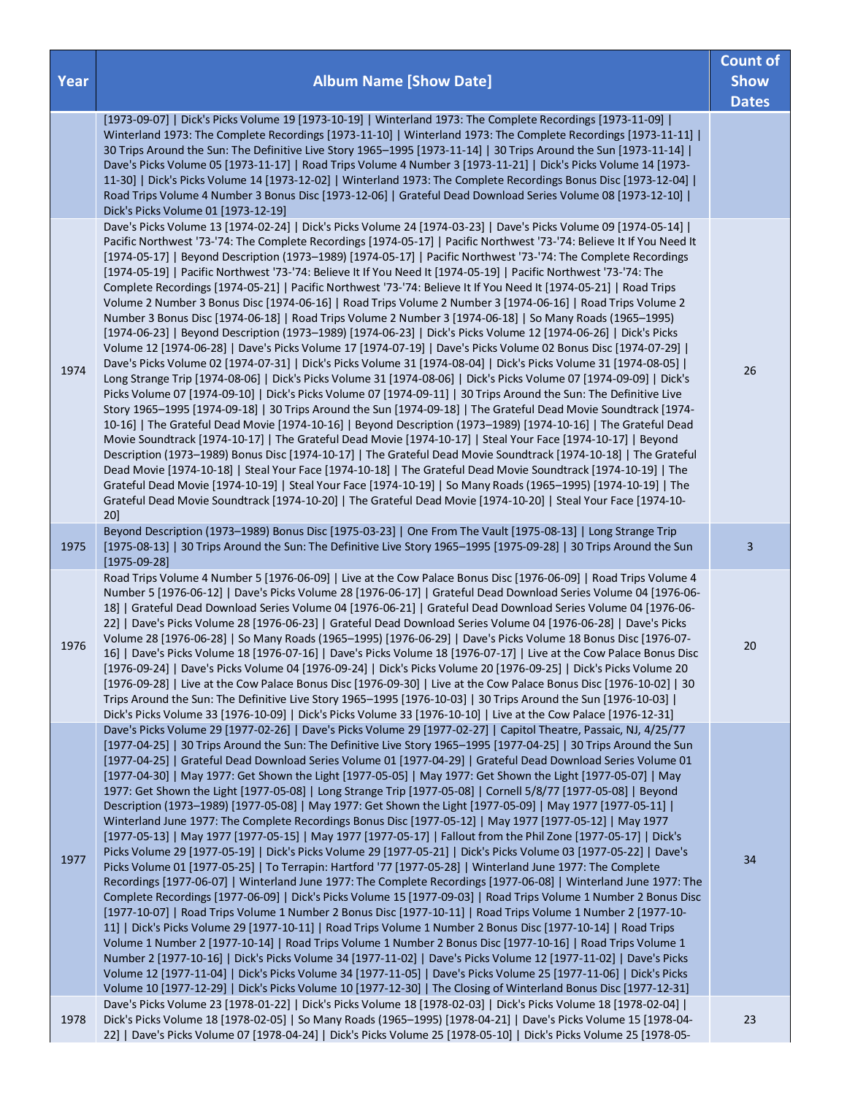| Year | <b>Album Name [Show Date]</b>                                                                                                                                                                                                                                                                                                                                                                                                                                                                                                                                                                                                                                                                                                                                                                                                                                                                                                                                                                                                                                                                                                                                                                                                                                                                                                                                                                                                                                                                                                                                                                                                                                                                                                                                                                                                                                                                                                                                                                                                                                                                                                                                                                                                                                                        | <b>Count of</b><br><b>Show</b><br><b>Dates</b> |
|------|--------------------------------------------------------------------------------------------------------------------------------------------------------------------------------------------------------------------------------------------------------------------------------------------------------------------------------------------------------------------------------------------------------------------------------------------------------------------------------------------------------------------------------------------------------------------------------------------------------------------------------------------------------------------------------------------------------------------------------------------------------------------------------------------------------------------------------------------------------------------------------------------------------------------------------------------------------------------------------------------------------------------------------------------------------------------------------------------------------------------------------------------------------------------------------------------------------------------------------------------------------------------------------------------------------------------------------------------------------------------------------------------------------------------------------------------------------------------------------------------------------------------------------------------------------------------------------------------------------------------------------------------------------------------------------------------------------------------------------------------------------------------------------------------------------------------------------------------------------------------------------------------------------------------------------------------------------------------------------------------------------------------------------------------------------------------------------------------------------------------------------------------------------------------------------------------------------------------------------------------------------------------------------------|------------------------------------------------|
|      | [1973-09-07]   Dick's Picks Volume 19 [1973-10-19]   Winterland 1973: The Complete Recordings [1973-11-09]  <br>Winterland 1973: The Complete Recordings [1973-11-10]   Winterland 1973: The Complete Recordings [1973-11-11]  <br>30 Trips Around the Sun: The Definitive Live Story 1965-1995 [1973-11-14]   30 Trips Around the Sun [1973-11-14]  <br>Dave's Picks Volume 05 [1973-11-17]   Road Trips Volume 4 Number 3 [1973-11-21]   Dick's Picks Volume 14 [1973-<br>11-30]   Dick's Picks Volume 14 [1973-12-02]   Winterland 1973: The Complete Recordings Bonus Disc [1973-12-04]  <br>Road Trips Volume 4 Number 3 Bonus Disc [1973-12-06]   Grateful Dead Download Series Volume 08 [1973-12-10]  <br>Dick's Picks Volume 01 [1973-12-19]                                                                                                                                                                                                                                                                                                                                                                                                                                                                                                                                                                                                                                                                                                                                                                                                                                                                                                                                                                                                                                                                                                                                                                                                                                                                                                                                                                                                                                                                                                                                |                                                |
| 1974 | Dave's Picks Volume 13 [1974-02-24]   Dick's Picks Volume 24 [1974-03-23]   Dave's Picks Volume 09 [1974-05-14]  <br>Pacific Northwest '73-'74: The Complete Recordings [1974-05-17]   Pacific Northwest '73-'74: Believe It If You Need It<br>[1974-05-17]   Beyond Description (1973-1989) [1974-05-17]   Pacific Northwest '73-'74: The Complete Recordings<br>[1974-05-19]   Pacific Northwest '73-'74: Believe It If You Need It [1974-05-19]   Pacific Northwest '73-'74: The<br>Complete Recordings [1974-05-21]   Pacific Northwest '73-'74: Believe It If You Need It [1974-05-21]   Road Trips<br>Volume 2 Number 3 Bonus Disc [1974-06-16]   Road Trips Volume 2 Number 3 [1974-06-16]   Road Trips Volume 2<br>Number 3 Bonus Disc [1974-06-18]   Road Trips Volume 2 Number 3 [1974-06-18]   So Many Roads (1965-1995)<br>[1974-06-23]   Beyond Description (1973-1989) [1974-06-23]   Dick's Picks Volume 12 [1974-06-26]   Dick's Picks<br>Volume 12 [1974-06-28]   Dave's Picks Volume 17 [1974-07-19]   Dave's Picks Volume 02 Bonus Disc [1974-07-29]  <br>Dave's Picks Volume 02 [1974-07-31]   Dick's Picks Volume 31 [1974-08-04]   Dick's Picks Volume 31 [1974-08-05]  <br>Long Strange Trip [1974-08-06]   Dick's Picks Volume 31 [1974-08-06]   Dick's Picks Volume 07 [1974-09-09]   Dick's<br>Picks Volume 07 [1974-09-10]   Dick's Picks Volume 07 [1974-09-11]   30 Trips Around the Sun: The Definitive Live<br>Story 1965-1995 [1974-09-18]   30 Trips Around the Sun [1974-09-18]   The Grateful Dead Movie Soundtrack [1974-<br>10-16]   The Grateful Dead Movie [1974-10-16]   Beyond Description (1973-1989) [1974-10-16]   The Grateful Dead<br>Movie Soundtrack [1974-10-17]   The Grateful Dead Movie [1974-10-17]   Steal Your Face [1974-10-17]   Beyond<br>Description (1973-1989) Bonus Disc [1974-10-17]   The Grateful Dead Movie Soundtrack [1974-10-18]   The Grateful<br>Dead Movie [1974-10-18]   Steal Your Face [1974-10-18]   The Grateful Dead Movie Soundtrack [1974-10-19]   The<br>Grateful Dead Movie [1974-10-19]   Steal Your Face [1974-10-19]   So Many Roads (1965-1995) [1974-10-19]   The<br>Grateful Dead Movie Soundtrack [1974-10-20]   The Grateful Dead Movie [1974-10-20]   Steal Your Face [1974-10-<br>$20$ ] | 26                                             |
| 1975 | Beyond Description (1973-1989) Bonus Disc [1975-03-23]   One From The Vault [1975-08-13]   Long Strange Trip<br>[1975-08-13]   30 Trips Around the Sun: The Definitive Live Story 1965-1995 [1975-09-28]   30 Trips Around the Sun<br>$[1975-09-28]$                                                                                                                                                                                                                                                                                                                                                                                                                                                                                                                                                                                                                                                                                                                                                                                                                                                                                                                                                                                                                                                                                                                                                                                                                                                                                                                                                                                                                                                                                                                                                                                                                                                                                                                                                                                                                                                                                                                                                                                                                                 | 3                                              |
| 1976 | Road Trips Volume 4 Number 5 [1976-06-09]   Live at the Cow Palace Bonus Disc [1976-06-09]   Road Trips Volume 4<br>Number 5 [1976-06-12]   Dave's Picks Volume 28 [1976-06-17]   Grateful Dead Download Series Volume 04 [1976-06-<br>18]   Grateful Dead Download Series Volume 04 [1976-06-21]   Grateful Dead Download Series Volume 04 [1976-06-<br>22]   Dave's Picks Volume 28 [1976-06-23]   Grateful Dead Download Series Volume 04 [1976-06-28]   Dave's Picks<br>Volume 28 [1976-06-28]   So Many Roads (1965-1995) [1976-06-29]   Dave's Picks Volume 18 Bonus Disc [1976-07-<br>16]   Dave's Picks Volume 18 [1976-07-16]   Dave's Picks Volume 18 [1976-07-17]   Live at the Cow Palace Bonus Disc<br>[1976-09-24]   Dave's Picks Volume 04 [1976-09-24]   Dick's Picks Volume 20 [1976-09-25]   Dick's Picks Volume 20<br>[1976-09-28]   Live at the Cow Palace Bonus Disc [1976-09-30]   Live at the Cow Palace Bonus Disc [1976-10-02]   30<br>Trips Around the Sun: The Definitive Live Story 1965-1995 [1976-10-03]   30 Trips Around the Sun [1976-10-03]  <br>Dick's Picks Volume 33 [1976-10-09]   Dick's Picks Volume 33 [1976-10-10]   Live at the Cow Palace [1976-12-31]                                                                                                                                                                                                                                                                                                                                                                                                                                                                                                                                                                                                                                                                                                                                                                                                                                                                                                                                                                                                                                                                                   | 20                                             |
| 1977 | Dave's Picks Volume 29 [1977-02-26]   Dave's Picks Volume 29 [1977-02-27]   Capitol Theatre, Passaic, NJ, 4/25/77<br>[1977-04-25]   30 Trips Around the Sun: The Definitive Live Story 1965-1995 [1977-04-25]   30 Trips Around the Sun<br>[1977-04-25]   Grateful Dead Download Series Volume 01 [1977-04-29]   Grateful Dead Download Series Volume 01<br>[1977-04-30]   May 1977: Get Shown the Light [1977-05-05]   May 1977: Get Shown the Light [1977-05-07]   May<br>1977: Get Shown the Light [1977-05-08]   Long Strange Trip [1977-05-08]   Cornell 5/8/77 [1977-05-08]   Beyond<br>Description (1973-1989) [1977-05-08]   May 1977: Get Shown the Light [1977-05-09]   May 1977 [1977-05-11]  <br>Winterland June 1977: The Complete Recordings Bonus Disc [1977-05-12]   May 1977 [1977-05-12]   May 1977<br>[1977-05-13]   May 1977 [1977-05-15]   May 1977 [1977-05-17]   Fallout from the Phil Zone [1977-05-17]   Dick's<br>Picks Volume 29 [1977-05-19]   Dick's Picks Volume 29 [1977-05-21]   Dick's Picks Volume 03 [1977-05-22]   Dave's<br>Picks Volume 01 [1977-05-25]   To Terrapin: Hartford '77 [1977-05-28]   Winterland June 1977: The Complete<br>Recordings [1977-06-07]   Winterland June 1977: The Complete Recordings [1977-06-08]   Winterland June 1977: The<br>Complete Recordings [1977-06-09]   Dick's Picks Volume 15 [1977-09-03]   Road Trips Volume 1 Number 2 Bonus Disc<br>[1977-10-07]   Road Trips Volume 1 Number 2 Bonus Disc [1977-10-11]   Road Trips Volume 1 Number 2 [1977-10-<br>11]   Dick's Picks Volume 29 [1977-10-11]   Road Trips Volume 1 Number 2 Bonus Disc [1977-10-14]   Road Trips<br>Volume 1 Number 2 [1977-10-14]   Road Trips Volume 1 Number 2 Bonus Disc [1977-10-16]   Road Trips Volume 1<br>Number 2 [1977-10-16]   Dick's Picks Volume 34 [1977-11-02]   Dave's Picks Volume 12 [1977-11-02]   Dave's Picks<br>Volume 12 [1977-11-04]   Dick's Picks Volume 34 [1977-11-05]   Dave's Picks Volume 25 [1977-11-06]   Dick's Picks<br>Volume 10 [1977-12-29]   Dick's Picks Volume 10 [1977-12-30]   The Closing of Winterland Bonus Disc [1977-12-31]                                                                                                                                                     | 34                                             |
| 1978 | Dave's Picks Volume 23 [1978-01-22]   Dick's Picks Volume 18 [1978-02-03]   Dick's Picks Volume 18 [1978-02-04]  <br>Dick's Picks Volume 18 [1978-02-05]   So Many Roads (1965-1995) [1978-04-21]   Dave's Picks Volume 15 [1978-04-<br>22]   Dave's Picks Volume 07 [1978-04-24]   Dick's Picks Volume 25 [1978-05-10]   Dick's Picks Volume 25 [1978-05-                                                                                                                                                                                                                                                                                                                                                                                                                                                                                                                                                                                                                                                                                                                                                                                                                                                                                                                                                                                                                                                                                                                                                                                                                                                                                                                                                                                                                                                                                                                                                                                                                                                                                                                                                                                                                                                                                                                           | 23                                             |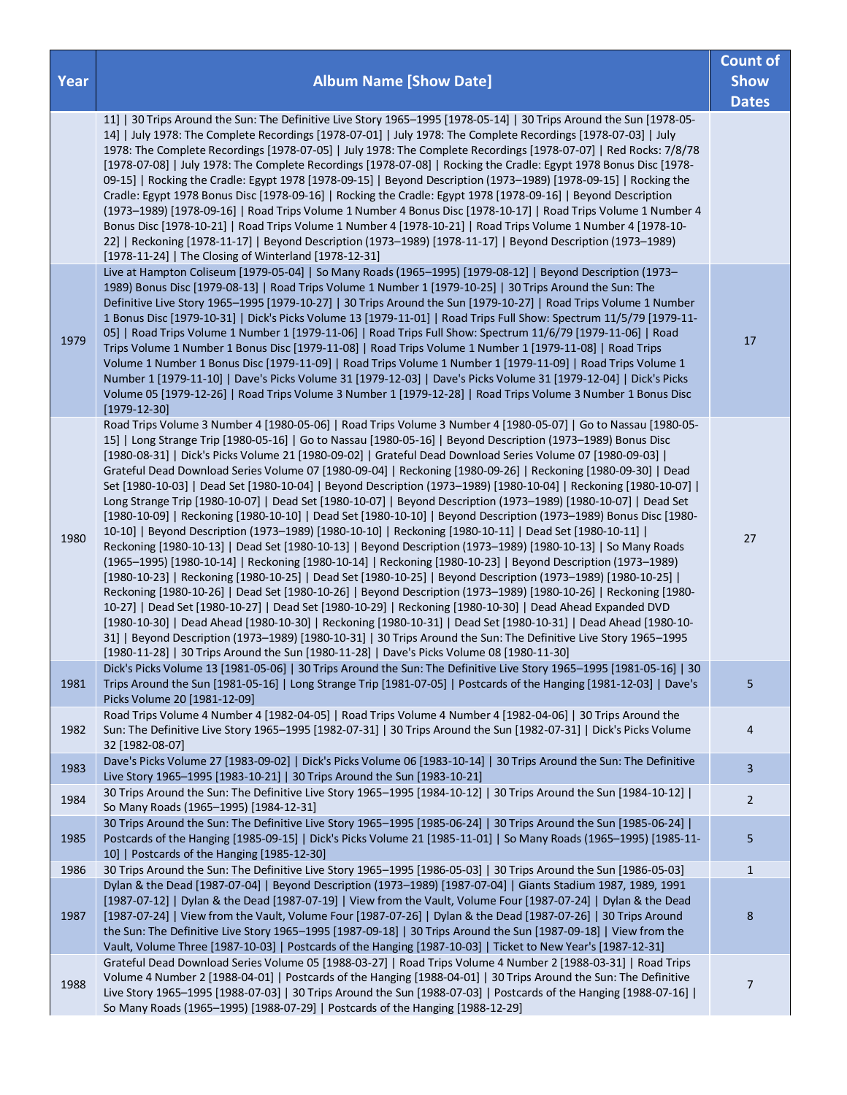|      |                                                                                                                                                                                                                                                                                                                                                                                                                                                                                                                                                                                                                                                                                                                                                                                                                                                                                                                                                                                                                                                                                                                                                                                                                                                                                                                                                                                                                                                                                                                                                                                                                                                                                                                                                                                                                                                          | <b>Count of</b>             |
|------|----------------------------------------------------------------------------------------------------------------------------------------------------------------------------------------------------------------------------------------------------------------------------------------------------------------------------------------------------------------------------------------------------------------------------------------------------------------------------------------------------------------------------------------------------------------------------------------------------------------------------------------------------------------------------------------------------------------------------------------------------------------------------------------------------------------------------------------------------------------------------------------------------------------------------------------------------------------------------------------------------------------------------------------------------------------------------------------------------------------------------------------------------------------------------------------------------------------------------------------------------------------------------------------------------------------------------------------------------------------------------------------------------------------------------------------------------------------------------------------------------------------------------------------------------------------------------------------------------------------------------------------------------------------------------------------------------------------------------------------------------------------------------------------------------------------------------------------------------------|-----------------------------|
| Year | <b>Album Name [Show Date]</b>                                                                                                                                                                                                                                                                                                                                                                                                                                                                                                                                                                                                                                                                                                                                                                                                                                                                                                                                                                                                                                                                                                                                                                                                                                                                                                                                                                                                                                                                                                                                                                                                                                                                                                                                                                                                                            | <b>Show</b><br><b>Dates</b> |
|      | 11]   30 Trips Around the Sun: The Definitive Live Story 1965-1995 [1978-05-14]   30 Trips Around the Sun [1978-05-<br>14]   July 1978: The Complete Recordings [1978-07-01]   July 1978: The Complete Recordings [1978-07-03]   July<br>1978: The Complete Recordings [1978-07-05]   July 1978: The Complete Recordings [1978-07-07]   Red Rocks: 7/8/78<br>[1978-07-08]   July 1978: The Complete Recordings [1978-07-08]   Rocking the Cradle: Egypt 1978 Bonus Disc [1978-<br>09-15]   Rocking the Cradle: Egypt 1978 [1978-09-15]   Beyond Description (1973-1989) [1978-09-15]   Rocking the<br>Cradle: Egypt 1978 Bonus Disc [1978-09-16]   Rocking the Cradle: Egypt 1978 [1978-09-16]   Beyond Description<br>(1973-1989) [1978-09-16]   Road Trips Volume 1 Number 4 Bonus Disc [1978-10-17]   Road Trips Volume 1 Number 4<br>Bonus Disc [1978-10-21]   Road Trips Volume 1 Number 4 [1978-10-21]   Road Trips Volume 1 Number 4 [1978-10-<br>22]   Reckoning [1978-11-17]   Beyond Description (1973-1989) [1978-11-17]   Beyond Description (1973-1989)<br>[1978-11-24]   The Closing of Winterland [1978-12-31]                                                                                                                                                                                                                                                                                                                                                                                                                                                                                                                                                                                                                                                                                                                            |                             |
| 1979 | Live at Hampton Coliseum [1979-05-04]   So Many Roads (1965-1995) [1979-08-12]   Beyond Description (1973-<br>1989) Bonus Disc [1979-08-13]   Road Trips Volume 1 Number 1 [1979-10-25]   30 Trips Around the Sun: The<br>Definitive Live Story 1965-1995 [1979-10-27]   30 Trips Around the Sun [1979-10-27]   Road Trips Volume 1 Number<br>1 Bonus Disc [1979-10-31]   Dick's Picks Volume 13 [1979-11-01]   Road Trips Full Show: Spectrum 11/5/79 [1979-11-<br>05]   Road Trips Volume 1 Number 1 [1979-11-06]   Road Trips Full Show: Spectrum 11/6/79 [1979-11-06]   Road<br>Trips Volume 1 Number 1 Bonus Disc [1979-11-08]   Road Trips Volume 1 Number 1 [1979-11-08]   Road Trips<br>Volume 1 Number 1 Bonus Disc [1979-11-09]   Road Trips Volume 1 Number 1 [1979-11-09]   Road Trips Volume 1<br>Number 1 [1979-11-10]   Dave's Picks Volume 31 [1979-12-03]   Dave's Picks Volume 31 [1979-12-04]   Dick's Picks<br>Volume 05 [1979-12-26]   Road Trips Volume 3 Number 1 [1979-12-28]   Road Trips Volume 3 Number 1 Bonus Disc<br>$[1979-12-30]$                                                                                                                                                                                                                                                                                                                                                                                                                                                                                                                                                                                                                                                                                                                                                                                        | 17                          |
| 1980 | Road Trips Volume 3 Number 4 [1980-05-06]   Road Trips Volume 3 Number 4 [1980-05-07]   Go to Nassau [1980-05-<br>15]   Long Strange Trip [1980-05-16]   Go to Nassau [1980-05-16]   Beyond Description (1973-1989) Bonus Disc<br>[1980-08-31]   Dick's Picks Volume 21 [1980-09-02]   Grateful Dead Download Series Volume 07 [1980-09-03]  <br>Grateful Dead Download Series Volume 07 [1980-09-04]   Reckoning [1980-09-26]   Reckoning [1980-09-30]   Dead<br>Set [1980-10-03]   Dead Set [1980-10-04]   Beyond Description (1973-1989) [1980-10-04]   Reckoning [1980-10-07]  <br>Long Strange Trip [1980-10-07]   Dead Set [1980-10-07]   Beyond Description (1973-1989) [1980-10-07]   Dead Set<br>[1980-10-09]   Reckoning [1980-10-10]   Dead Set [1980-10-10]   Beyond Description (1973-1989) Bonus Disc [1980-<br>10-10]   Beyond Description (1973-1989) [1980-10-10]   Reckoning [1980-10-11]   Dead Set [1980-10-11]  <br>Reckoning [1980-10-13]   Dead Set [1980-10-13]   Beyond Description (1973-1989) [1980-10-13]   So Many Roads<br>(1965-1995) [1980-10-14]   Reckoning [1980-10-14]   Reckoning [1980-10-23]   Beyond Description (1973-1989)<br>[1980-10-23]   Reckoning [1980-10-25]   Dead Set [1980-10-25]   Beyond Description (1973-1989) [1980-10-25]  <br>Reckoning [1980-10-26]   Dead Set [1980-10-26]   Beyond Description (1973-1989) [1980-10-26]   Reckoning [1980-<br>10-27]   Dead Set [1980-10-27]   Dead Set [1980-10-29]   Reckoning [1980-10-30]   Dead Ahead Expanded DVD<br>[1980-10-30]   Dead Ahead [1980-10-30]   Reckoning [1980-10-31]   Dead Set [1980-10-31]   Dead Ahead [1980-10-<br>31]   Beyond Description (1973-1989) [1980-10-31]   30 Trips Around the Sun: The Definitive Live Story 1965-1995<br>[1980-11-28]   30 Trips Around the Sun [1980-11-28]   Dave's Picks Volume 08 [1980-11-30] | 27                          |
| 1981 | Dick's Picks Volume 13 [1981-05-06]   30 Trips Around the Sun: The Definitive Live Story 1965-1995 [1981-05-16]   30<br>Trips Around the Sun [1981-05-16]   Long Strange Trip [1981-07-05]   Postcards of the Hanging [1981-12-03]   Dave's<br>Picks Volume 20 [1981-12-09]                                                                                                                                                                                                                                                                                                                                                                                                                                                                                                                                                                                                                                                                                                                                                                                                                                                                                                                                                                                                                                                                                                                                                                                                                                                                                                                                                                                                                                                                                                                                                                              | 5                           |
| 1982 | Road Trips Volume 4 Number 4 [1982-04-05]   Road Trips Volume 4 Number 4 [1982-04-06]   30 Trips Around the<br>Sun: The Definitive Live Story 1965-1995 [1982-07-31]   30 Trips Around the Sun [1982-07-31]   Dick's Picks Volume<br>32 [1982-08-07]                                                                                                                                                                                                                                                                                                                                                                                                                                                                                                                                                                                                                                                                                                                                                                                                                                                                                                                                                                                                                                                                                                                                                                                                                                                                                                                                                                                                                                                                                                                                                                                                     | $\overline{4}$              |
| 1983 | Dave's Picks Volume 27 [1983-09-02]   Dick's Picks Volume 06 [1983-10-14]   30 Trips Around the Sun: The Definitive<br>Live Story 1965-1995 [1983-10-21]   30 Trips Around the Sun [1983-10-21]                                                                                                                                                                                                                                                                                                                                                                                                                                                                                                                                                                                                                                                                                                                                                                                                                                                                                                                                                                                                                                                                                                                                                                                                                                                                                                                                                                                                                                                                                                                                                                                                                                                          | $\overline{3}$              |
| 1984 | 30 Trips Around the Sun: The Definitive Live Story 1965-1995 [1984-10-12]   30 Trips Around the Sun [1984-10-12]  <br>So Many Roads (1965-1995) [1984-12-31]                                                                                                                                                                                                                                                                                                                                                                                                                                                                                                                                                                                                                                                                                                                                                                                                                                                                                                                                                                                                                                                                                                                                                                                                                                                                                                                                                                                                                                                                                                                                                                                                                                                                                             | $\overline{2}$              |
| 1985 | 30 Trips Around the Sun: The Definitive Live Story 1965-1995 [1985-06-24]   30 Trips Around the Sun [1985-06-24]  <br>Postcards of the Hanging [1985-09-15]   Dick's Picks Volume 21 [1985-11-01]   So Many Roads (1965-1995) [1985-11-<br>10]   Postcards of the Hanging [1985-12-30]                                                                                                                                                                                                                                                                                                                                                                                                                                                                                                                                                                                                                                                                                                                                                                                                                                                                                                                                                                                                                                                                                                                                                                                                                                                                                                                                                                                                                                                                                                                                                                   | 5                           |
| 1986 | 30 Trips Around the Sun: The Definitive Live Story 1965-1995 [1986-05-03]   30 Trips Around the Sun [1986-05-03]                                                                                                                                                                                                                                                                                                                                                                                                                                                                                                                                                                                                                                                                                                                                                                                                                                                                                                                                                                                                                                                                                                                                                                                                                                                                                                                                                                                                                                                                                                                                                                                                                                                                                                                                         | $\mathbf{1}$                |
| 1987 | Dylan & the Dead [1987-07-04]   Beyond Description (1973-1989) [1987-07-04]   Giants Stadium 1987, 1989, 1991<br>[1987-07-12]   Dylan & the Dead [1987-07-19]   View from the Vault, Volume Four [1987-07-24]   Dylan & the Dead<br>[1987-07-24]   View from the Vault, Volume Four [1987-07-26]   Dylan & the Dead [1987-07-26]   30 Trips Around<br>the Sun: The Definitive Live Story 1965-1995 [1987-09-18]   30 Trips Around the Sun [1987-09-18]   View from the<br>Vault, Volume Three [1987-10-03]   Postcards of the Hanging [1987-10-03]   Ticket to New Year's [1987-12-31]                                                                                                                                                                                                                                                                                                                                                                                                                                                                                                                                                                                                                                                                                                                                                                                                                                                                                                                                                                                                                                                                                                                                                                                                                                                                   | $\bf 8$                     |
| 1988 | Grateful Dead Download Series Volume 05 [1988-03-27]   Road Trips Volume 4 Number 2 [1988-03-31]   Road Trips<br>Volume 4 Number 2 [1988-04-01]   Postcards of the Hanging [1988-04-01]   30 Trips Around the Sun: The Definitive<br>Live Story 1965-1995 [1988-07-03]   30 Trips Around the Sun [1988-07-03]   Postcards of the Hanging [1988-07-16]  <br>So Many Roads (1965-1995) [1988-07-29]   Postcards of the Hanging [1988-12-29]                                                                                                                                                                                                                                                                                                                                                                                                                                                                                                                                                                                                                                                                                                                                                                                                                                                                                                                                                                                                                                                                                                                                                                                                                                                                                                                                                                                                                | $\overline{7}$              |